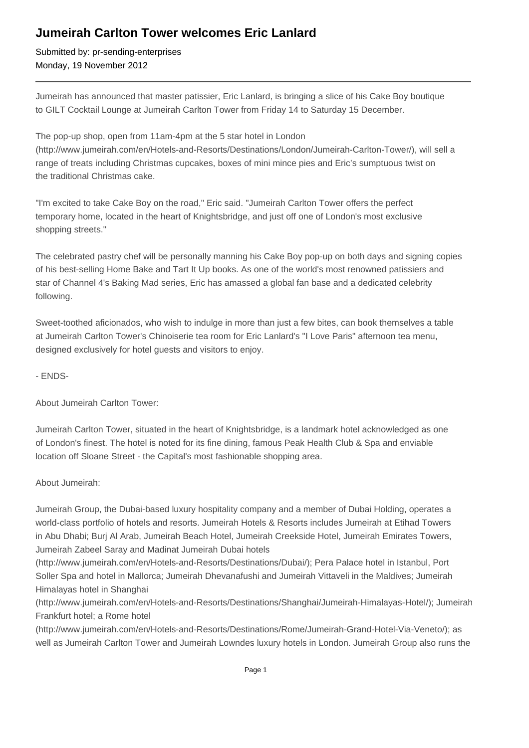## **Jumeirah Carlton Tower welcomes Eric Lanlard**

Submitted by: pr-sending-enterprises Monday, 19 November 2012

Jumeirah has announced that master patissier, Eric Lanlard, is bringing a slice of his Cake Boy boutique to GILT Cocktail Lounge at Jumeirah Carlton Tower from Friday 14 to Saturday 15 December.

The pop-up shop, open from 11am-4pm at the 5 star hotel in London (http://www.jumeirah.com/en/Hotels-and-Resorts/Destinations/London/Jumeirah-Carlton-Tower/), will sell a range of treats including Christmas cupcakes, boxes of mini mince pies and Eric's sumptuous twist on the traditional Christmas cake.

"I'm excited to take Cake Boy on the road," Eric said. "Jumeirah Carlton Tower offers the perfect temporary home, located in the heart of Knightsbridge, and just off one of London's most exclusive shopping streets."

The celebrated pastry chef will be personally manning his Cake Boy pop-up on both days and signing copies of his best-selling Home Bake and Tart It Up books. As one of the world's most renowned patissiers and star of Channel 4's Baking Mad series, Eric has amassed a global fan base and a dedicated celebrity following.

Sweet-toothed aficionados, who wish to indulge in more than just a few bites, can book themselves a table at Jumeirah Carlton Tower's Chinoiserie tea room for Eric Lanlard's "I Love Paris" afternoon tea menu, designed exclusively for hotel guests and visitors to enjoy.

- ENDS-

About Jumeirah Carlton Tower:

Jumeirah Carlton Tower, situated in the heart of Knightsbridge, is a landmark hotel acknowledged as one of London's finest. The hotel is noted for its fine dining, famous Peak Health Club & Spa and enviable location off Sloane Street - the Capital's most fashionable shopping area.

About Jumeirah:

Jumeirah Group, the Dubai-based luxury hospitality company and a member of Dubai Holding, operates a world-class portfolio of hotels and resorts. Jumeirah Hotels & Resorts includes Jumeirah at Etihad Towers in Abu Dhabi; Burj Al Arab, Jumeirah Beach Hotel, Jumeirah Creekside Hotel, Jumeirah Emirates Towers, Jumeirah Zabeel Saray and Madinat Jumeirah Dubai hotels

(http://www.jumeirah.com/en/Hotels-and-Resorts/Destinations/Dubai/); Pera Palace hotel in Istanbul, Port Soller Spa and hotel in Mallorca; Jumeirah Dhevanafushi and Jumeirah Vittaveli in the Maldives; Jumeirah Himalayas hotel in Shanghai

(http://www.jumeirah.com/en/Hotels-and-Resorts/Destinations/Shanghai/Jumeirah-Himalayas-Hotel/); Jumeirah Frankfurt hotel; a Rome hotel

(http://www.jumeirah.com/en/Hotels-and-Resorts/Destinations/Rome/Jumeirah-Grand-Hotel-Via-Veneto/); as well as Jumeirah Carlton Tower and Jumeirah Lowndes luxury hotels in London. Jumeirah Group also runs the